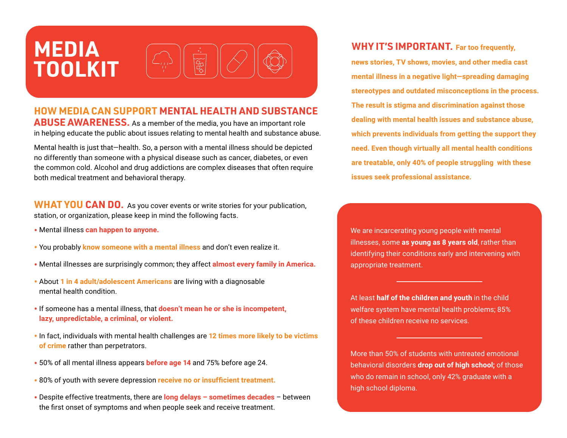# **MEDIA TOOLKIT**

#### **HOW MEDIA CAN SUPPORT MENTAL HEALTH AND SUBSTANCE ABUSE AWARENESS.** As a member of the media, you have an important role in helping educate the public about issues relating to mental health and substance abuse.

Mental health is just that—health. So, a person with a mental illness should be depicted no differently than someone with a physical disease such as cancer, diabetes, or even the common cold. Alcohol and drug addictions are complex diseases that often require both medical treatment and behavioral therapy.

**WHAT YOU CAN DO.** As you cover events or write stories for your publication, station, or organization, please keep in mind the following facts.

- Mental illness **can happen to anyone.**
- You probably **know someone with a mental illness** and don't even realize it.
- Mental illnesses are surprisingly common; they affect **almost every family in America.**
- About **1 in 4 adult/adolescent Americans** are living with a diagnosable mental health condition.
- If someone has a mental illness, that **doesn't mean he or she is incompetent, lazy, unpredictable, a criminal, or violent.**
- In fact, individuals with mental health challenges are **12 times more likely to be victims of crime** rather than perpetrators.
- 50% of all mental illness appears **before age 14** and 75% before age 24.
- 80% of youth with severe depression **receive no or insufficient treatment.**
- Despite effective treatments, there are **long delays sometimes decades** between the first onset of symptoms and when people seek and receive treatment.

### **WHY IT'S IMPORTANT. Far too frequently,**

**news stories, TV shows, movies, and other media cast mental illness in a negative light—spreading damaging stereotypes and outdated misconceptions in the process. The result is stigma and discrimination against those dealing with mental health issues and substance abuse, which prevents individuals from getting the support they need. Even though virtually all mental health conditions are treatable, only 40% of people struggling with these issues seek professional assistance.**

We are incarcerating young people with mental illnesses, some **as young as 8 years old**, rather than identifying their conditions early and intervening with appropriate treatment.

At least **half of the children and youth** in the child welfare system have mental health problems; 85% of these children receive no services.

More than 50% of students with untreated emotional behavioral disorders **drop out of high school;** of those who do remain in school, only 42% graduate with a high school diploma.